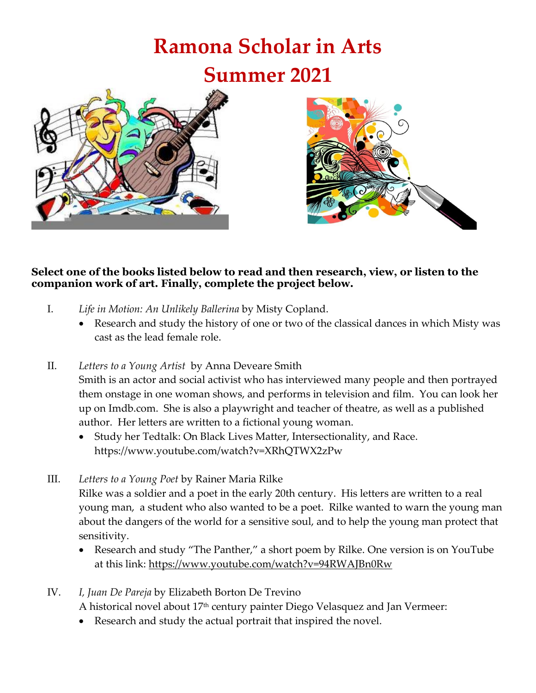## **Ramona Scholar in Arts Summer 2021**





#### **Select one of the books listed below to read and then research, view, or listen to the companion work of art. Finally, complete the project below.**

- I. *Life in Motion: An Unlikely Ballerina* by Misty Copland.
	- Research and study the history of one or two of the classical dances in which Misty was cast as the lead female role.
- II. *Letters to a Young Artist* by Anna Deveare Smith Smith is an actor and social activist who has interviewed many people and then portrayed them onstage in one woman shows, and performs in television and film. You can look her up on Imdb.com. She is also a playwright and teacher of theatre, as well as a published author. Her letters are written to a fictional young woman.
	- Study her Tedtalk: On Black Lives Matter, Intersectionality, and Race. https://www.youtube.com/watch?v=XRhQTWX2zPw
- III. *Letters to a Young Poet* by Rainer Maria Rilke

Rilke was a soldier and a poet in the early 20th century. His letters are written to a real young man, a student who also wanted to be a poet. Rilke wanted to warn the young man about the dangers of the world for a sensitive soul, and to help the young man protect that sensitivity.

- Research and study "The Panther," a short poem by Rilke. One version is on YouTube at this link:<https://www.youtube.com/watch?v=94RWAJBn0Rw>
- IV. *I, Juan De Pareja* by Elizabeth Borton De Trevino

A historical novel about 17<sup>th</sup> century painter Diego Velasquez and Jan Vermeer:

Research and study the actual portrait that inspired the novel.